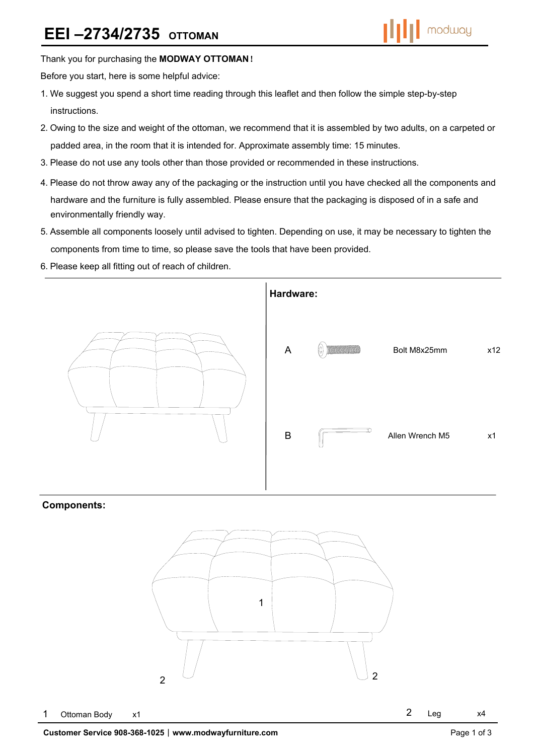### Thank you for purchasing the **MODWAY OTTOMAN**!

Before you start, here is some helpful advice:

- 1.We suggest you spend a short time reading through this leaflet and then follow the simple step-by-step instructions.
- 2.Owing to the size and weight of the ottoman, we recommend that it is assembled by two adults, on a carpeted or padded area, in the room that it is intended for. Approximate assembly time: 15 minutes.
- 3.Please do not use any tools other than those provided or recommended in these instructions.
- 4.Please do not throw away any of the packaging or the instruction until you have checked all the components and hardware and the furniture is fully assembled. Please ensure that the packaging is disposed of in a safe and environmentally friendly way.
- 5.Assemble all components loosely until advised to tighten. Depending on use, it may be necessary to tighten the components from time to time, so please save the tools that have been provided.
- 6.Please keep all fitting out of reach of children.



# **Components:**

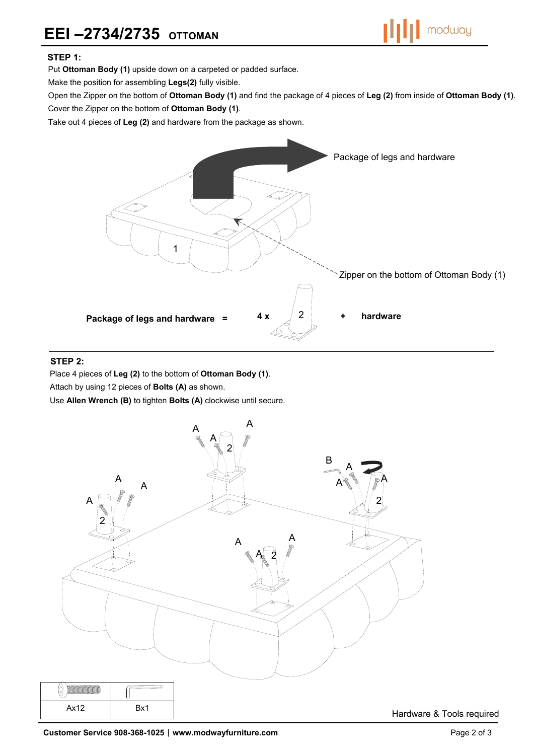

### **STEP 1:**

Put **Ottoman Body (1)** upside down on a carpeted or padded surface.

Make the position for assembling **Legs(2)** fully visible.

Open the Zipper on the bottom of **Ottoman Body (1)** and find the package of 4 pieces of **Leg (2)** from inside of **Ottoman Body (1)**.

Cover the Zipper on the bottom of **Ottoman Body (1)**.

Take out 4 pieces of **Leg (2)** and hardware from the package as shown.



#### **STEP 2:**

Place 4 pieces of **Leg (2)** to the bottom of **Ottoman Body (1)**.

Attach by using 12 pieces of **Bolts (A)** as shown.

Use **Allen Wrench (B)** to tighten **Bolts (A)** clockwise until secure.